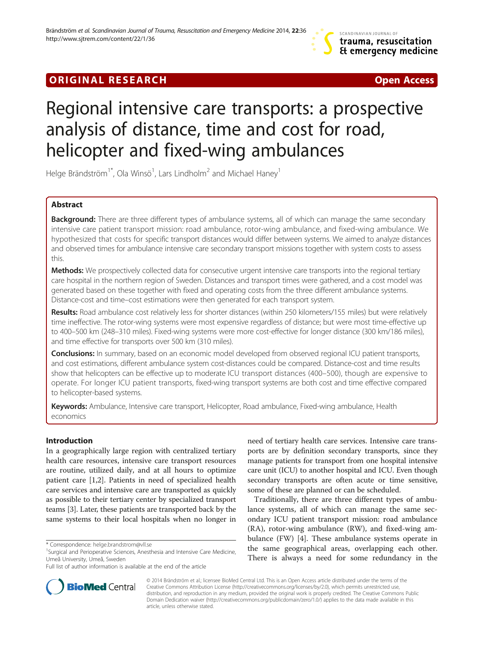# **ORIGINAL RESEARCH CONSUMING A RESEARCH CONSUMING A RESEARCH**

# Regional intensive care transports: a prospective analysis of distance, time and cost for road, helicopter and fixed-wing ambulances

Helge Brändström $^{1*}$ , Ola Winsö $^1$ , Lars Lindholm $^2$  and Michael Haney $^1$ 

# Abstract

Background: There are three different types of ambulance systems, all of which can manage the same secondary intensive care patient transport mission: road ambulance, rotor-wing ambulance, and fixed-wing ambulance. We hypothesized that costs for specific transport distances would differ between systems. We aimed to analyze distances and observed times for ambulance intensive care secondary transport missions together with system costs to assess this.

Methods: We prospectively collected data for consecutive urgent intensive care transports into the regional tertiary care hospital in the northern region of Sweden. Distances and transport times were gathered, and a cost model was generated based on these together with fixed and operating costs from the three different ambulance systems. Distance-cost and time–cost estimations were then generated for each transport system.

Results: Road ambulance cost relatively less for shorter distances (within 250 kilometers/155 miles) but were relatively time ineffective. The rotor-wing systems were most expensive regardless of distance; but were most time-effective up to 400–500 km (248–310 miles). Fixed-wing systems were more cost-effective for longer distance (300 km/186 miles), and time effective for transports over 500 km (310 miles).

Conclusions: In summary, based on an economic model developed from observed regional ICU patient transports, and cost estimations, different ambulance system cost-distances could be compared. Distance-cost and time results show that helicopters can be effective up to moderate ICU transport distances (400–500), though are expensive to operate. For longer ICU patient transports, fixed-wing transport systems are both cost and time effective compared to helicopter-based systems.

Keywords: Ambulance, Intensive care transport, Helicopter, Road ambulance, Fixed-wing ambulance, Health economics

# Introduction

In a geographically large region with centralized tertiary health care resources, intensive care transport resources are routine, utilized daily, and at all hours to optimize patient care [[1,2\]](#page-6-0). Patients in need of specialized health care services and intensive care are transported as quickly as possible to their tertiary center by specialized transport teams [[3\]](#page-6-0). Later, these patients are transported back by the same systems to their local hospitals when no longer in



Traditionally, there are three different types of ambulance systems, all of which can manage the same secondary ICU patient transport mission: road ambulance (RA), rotor-wing ambulance (RW), and fixed-wing ambulance (FW) [\[4](#page-6-0)]. These ambulance systems operate in the same geographical areas, overlapping each other. There is always a need for some redundancy in the



© 2014 Brändström et al.; licensee BioMed Central Ltd. This is an Open Access article distributed under the terms of the Creative Commons Attribution License (<http://creativecommons.org/licenses/by/2.0>), which permits unrestricted use, distribution, and reproduction in any medium, provided the original work is properly credited. The Creative Commons Public Domain Dedication waiver [\(http://creativecommons.org/publicdomain/zero/1.0/\)](http://creativecommons.org/publicdomain/zero/1.0/) applies to the data made available in this article, unless otherwise stated.

<sup>\*</sup> Correspondence: [helge.brandstrom@vll.se](mailto:helge.brandstrom@vll.se) <sup>1</sup>

<sup>&</sup>lt;sup>1</sup>Surgical and Perioperative Sciences, Anesthesia and Intensive Care Medicine, Umeå University, Umeå, Sweden

Full list of author information is available at the end of the article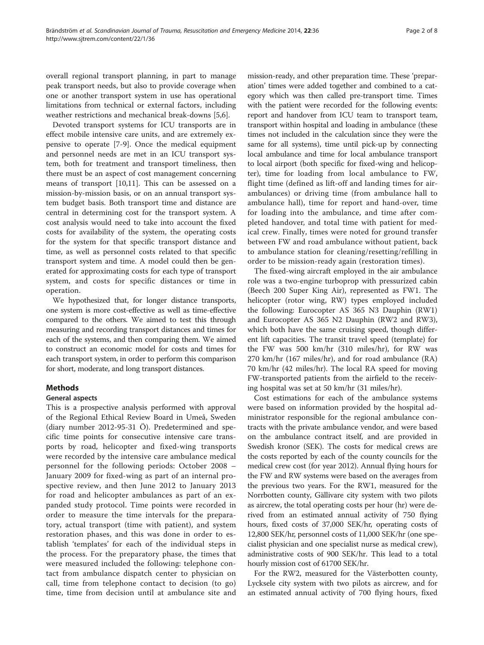overall regional transport planning, in part to manage peak transport needs, but also to provide coverage when one or another transport system in use has operational limitations from technical or external factors, including weather restrictions and mechanical break-downs [[5,](#page-6-0)[6\]](#page-7-0).

Devoted transport systems for ICU transports are in effect mobile intensive care units, and are extremely expensive to operate [[7-9](#page-7-0)]. Once the medical equipment and personnel needs are met in an ICU transport system, both for treatment and transport timeliness, then there must be an aspect of cost management concerning means of transport [\[10,11](#page-7-0)]. This can be assessed on a mission-by-mission basis, or on an annual transport system budget basis. Both transport time and distance are central in determining cost for the transport system. A cost analysis would need to take into account the fixed costs for availability of the system, the operating costs for the system for that specific transport distance and time, as well as personnel costs related to that specific transport system and time. A model could then be generated for approximating costs for each type of transport system, and costs for specific distances or time in operation.

We hypothesized that, for longer distance transports, one system is more cost-effective as well as time-effective compared to the others. We aimed to test this through measuring and recording transport distances and times for each of the systems, and then comparing them. We aimed to construct an economic model for costs and times for each transport system, in order to perform this comparison for short, moderate, and long transport distances.

# **Methods**

### General aspects

This is a prospective analysis performed with approval of the Regional Ethical Review Board in Umeå, Sweden (diary number 2012-95-31 Ö). Predetermined and specific time points for consecutive intensive care transports by road, helicopter and fixed-wing transports were recorded by the intensive care ambulance medical personnel for the following periods: October 2008 – January 2009 for fixed-wing as part of an internal prospective review, and then June 2012 to January 2013 for road and helicopter ambulances as part of an expanded study protocol. Time points were recorded in order to measure the time intervals for the preparatory, actual transport (time with patient), and system restoration phases, and this was done in order to establish 'templates' for each of the individual steps in the process. For the preparatory phase, the times that were measured included the following: telephone contact from ambulance dispatch center to physician on call, time from telephone contact to decision (to go) time, time from decision until at ambulance site and

mission-ready, and other preparation time. These 'preparation' times were added together and combined to a category which was then called pre-transport time. Times with the patient were recorded for the following events: report and handover from ICU team to transport team, transport within hospital and loading in ambulance (these times not included in the calculation since they were the same for all systems), time until pick-up by connecting local ambulance and time for local ambulance transport to local airport (both specific for fixed-wing and helicopter), time for loading from local ambulance to FW, flight time (defined as lift-off and landing times for airambulances) or driving time (from ambulance hall to ambulance hall), time for report and hand-over, time for loading into the ambulance, and time after completed handover, and total time with patient for medical crew. Finally, times were noted for ground transfer between FW and road ambulance without patient, back to ambulance station for cleaning/resetting/refilling in order to be mission-ready again (restoration times).

The fixed-wing aircraft employed in the air ambulance role was a two-engine turboprop with pressurized cabin (Beech 200 Super King Air), represented as FW1. The helicopter (rotor wing, RW) types employed included the following: Eurocopter AS 365 N3 Dauphin (RW1) and Eurocopter AS 365 N2 Dauphin (RW2 and RW3), which both have the same cruising speed, though different lift capacities. The transit travel speed (template) for the FW was 500 km/hr (310 miles/hr), for RW was 270 km/hr (167 miles/hr), and for road ambulance (RA) 70 km/hr (42 miles/hr). The local RA speed for moving FW-transported patients from the airfield to the receiving hospital was set at 50 km/hr (31 miles/hr).

Cost estimations for each of the ambulance systems were based on information provided by the hospital administrator responsible for the regional ambulance contracts with the private ambulance vendor, and were based on the ambulance contract itself, and are provided in Swedish kronor (SEK). The costs for medical crews are the costs reported by each of the county councils for the medical crew cost (for year 2012). Annual flying hours for the FW and RW systems were based on the averages from the previous two years. For the RW1, measured for the Norrbotten county, Gällivare city system with two pilots as aircrew, the total operating costs per hour (hr) were derived from an estimated annual activity of 750 flying hours, fixed costs of 37,000 SEK/hr, operating costs of 12,800 SEK/hr, personnel costs of 11,000 SEK/hr (one specialist physician and one specialist nurse as medical crew), administrative costs of 900 SEK/hr. This lead to a total hourly mission cost of 61700 SEK/hr.

For the RW2, measured for the Västerbotten county, Lycksele city system with two pilots as aircrew, and for an estimated annual activity of 700 flying hours, fixed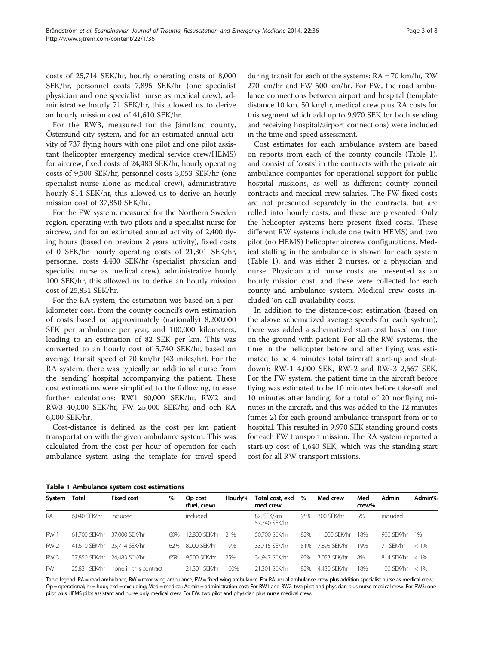costs of 25,714 SEK/hr, hourly operating costs of 8,000 SEK/hr, personnel costs 7,895 SEK/hr (one specialist physician and one specialist nurse as medical crew), administrative hourly 71 SEK/hr, this allowed us to derive an hourly mission cost of 41,610 SEK/hr.

For the RW3, measured for the Jämtland county, Östersund city system, and for an estimated annual activity of 737 flying hours with one pilot and one pilot assistant (helicopter emergency medical service crew/HEMS) for aircrew, fixed costs of 24,483 SEK/hr, hourly operating costs of 9,500 SEK/hr, personnel costs 3,053 SEK/hr (one specialist nurse alone as medical crew), administrative hourly 814 SEK/hr, this allowed us to derive an hourly mission cost of 37,850 SEK/hr.

For the FW system, measured for the Northern Sweden region, operating with two pilots and a specialist nurse for aircrew, and for an estimated annual activity of 2,400 flying hours (based on previous 2 years activity), fixed costs of 0 SEK/hr, hourly operating costs of 21,301 SEK/hr, personnel costs 4,430 SEK/hr (specialist physician and specialist nurse as medical crew), administrative hourly 100 SEK/hr, this allowed us to derive an hourly mission cost of 25,831 SEK/hr.

For the RA system, the estimation was based on a perkilometer cost, from the county council's own estimation of costs based on approximately (nationally) 8,200,000 SEK per ambulance per year, and 100,000 kilometers, leading to an estimation of 82 SEK per km. This was converted to an hourly cost of 5,740 SEK/hr, based on average transit speed of 70 km/hr (43 miles/hr). For the RA system, there was typically an additional nurse from the 'sending' hospital accompanying the patient. These cost estimations were simplified to the following, to ease further calculations: RW1 60,000 SEK/hr, RW2 and RW3 40,000 SEK/hr, FW 25,000 SEK/hr, and och RA 6,000 SEK/hr.

Cost-distance is defined as the cost per km patient transportation with the given ambulance system. This was calculated from the cost per hour of operation for each ambulance system using the template for travel speed

during transit for each of the systems: RA = 70 km/hr, RW 270 km/hr and FW 500 km/hr. For FW, the road ambulance connections between airport and hospital (template distance 10 km, 50 km/hr, medical crew plus RA costs for this segment which add up to 9,970 SEK for both sending and receiving hospital/airport connections) were included in the time and speed assessment.

Cost estimates for each ambulance system are based on reports from each of the county councils (Table 1), and consist of 'costs' in the contracts with the private air ambulance companies for operational support for public hospital missions, as well as different county council contracts and medical crew salaries. The FW fixed costs are not presented separately in the contracts, but are rolled into hourly costs, and these are presented. Only the helicopter systems here present fixed costs. These different RW systems include one (with HEMS) and two pilot (no HEMS) helicopter aircrew configurations. Medical staffing in the ambulance is shown for each system (Table 1), and was either 2 nurses, or a physician and nurse. Physician and nurse costs are presented as an hourly mission cost, and these were collected for each county and ambulance system. Medical crew costs included 'on-call' availability costs.

In addition to the distance-cost estimation (based on the above schematized average speeds for each system), there was added a schematized start-cost based on time on the ground with patient. For all the RW systems, the time in the helicopter before and after flying was estimated to be 4 minutes total (aircraft start-up and shutdown): RW-1 4,000 SEK, RW-2 and RW-3 2,667 SEK. For the FW system, the patient time in the aircraft before flying was estimated to be 10 minutes before take-off and 10 minutes after landing, for a total of 20 nonflying minutes in the aircraft, and this was added to the 12 minutes (times 2) for each ground ambulance transport from or to hospital. This resulted in 9,970 SEK standing ground costs for each FW transport mission. The RA system reported a start-up cost of 1,640 SEK, which was the standing start cost for all RW transport missions.

Table 1 Ambulance system cost estimations

| System          | <b>Total</b>  | <b>Fixed cost</b>           | %   | Op cost<br>(fuel, crew) | Hourly% | Total cost, excl<br>med crew | $\%$ | Med crew         | Med<br>crew% | Admin                | Admin%  |
|-----------------|---------------|-----------------------------|-----|-------------------------|---------|------------------------------|------|------------------|--------------|----------------------|---------|
| <b>RA</b>       | 6.040 SEK/hr  | included                    |     | included                |         | 82. SEK/km<br>57.740 SEK/hr  | 95%  | 300 SFK/hr       | 5%           | included             |         |
| RW 1            | 61.700 SEK/hr | 37.000 SEK/hr               | 60% | 12.800 SEK/hr 21%       |         | 50.700 SEK/hr                | 82%  | 11,000 SEK/hr    | 18%          | 900 SEK/hr           | 1%      |
| RW <sub>2</sub> |               | 41.610 SEK/hr 25.714 SEK/hr | 62% | 8.000 SEK/hr            | 19%     | 33.715 SEK/hr                |      | 81% 7.895 SEK/hr | 19%          | 71 SFK/hr            | $< 1\%$ |
| RW <sub>3</sub> | 37.850 SEK/hr | 24.483 SEK/hr               | 65% | 9.500 SEK/hr            | 25%     | 34.947 SEK/hr                | 92%  | 3.053 SEK/hr     | 8%           | $814$ SFK/hr $< 1\%$ |         |
| <b>FW</b>       | 25.831 SEK/hr | none in this contract       |     | 21.301 SEK/hr           | 100%    | 21.301 SEK/hr                |      | 82% 4.430 SEK/hr | 18%          | 100 SFK/hr           | $< 1\%$ |

Table legend. RA = road ambulance, RW = rotor wing ambulance, FW = fixed wing ambulance. For RA: usual ambulance crew plus addition specialist nurse as medical crew; Op = operational; hr = hour; excl = excluding; Med = medical; Admin = administration cost; For RW1 and RW2: two pilot and physician plus nurse medical crew. For RW3: one pilot plus HEMS pilot assistant and nurse only medical crew. For FW: two pilot and physician plus nurse medical crew.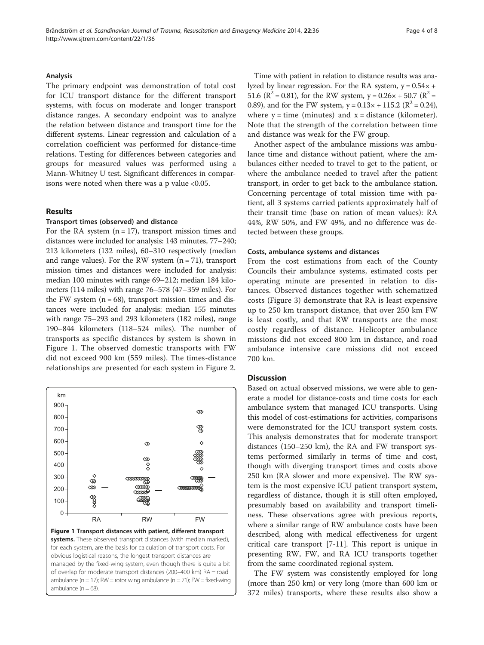#### Analysis

The primary endpoint was demonstration of total cost for ICU transport distance for the different transport systems, with focus on moderate and longer transport distance ranges. A secondary endpoint was to analyze the relation between distance and transport time for the different systems. Linear regression and calculation of a correlation coefficient was performed for distance-time relations. Testing for differences between categories and groups for measured values was performed using a Mann-Whitney U test. Significant differences in comparisons were noted when there was a p value <0.05.

# **Results**

#### Transport times (observed) and distance

For the RA system  $(n = 17)$ , transport mission times and distances were included for analysis: 143 minutes, 77–240; 213 kilometers (132 miles), 60–310 respectively (median and range values). For the RW system  $(n = 71)$ , transport mission times and distances were included for analysis: median 100 minutes with range 69–212; median 184 kilometers (114 miles) with range 76–578 (47–359 miles). For the FW system  $(n = 68)$ , transport mission times and distances were included for analysis: median 155 minutes with range 75–293 and 293 kilometers (182 miles), range 190–844 kilometers (118–524 miles). The number of transports as specific distances by system is shown in Figure 1. The observed domestic transports with FW did not exceed 900 km (559 miles). The times-distance relationships are presented for each system in Figure [2.](#page-4-0)



for each system, are the basis for calculation of transport costs. For obvious logistical reasons, the longest transport distances are managed by the fixed-wing system, even though there is quite a bit of overlap for moderate transport distances (200-400 km) RA = road ambulance (n = 17); RW = rotor wing ambulance (n = 71); FW = fixed-wing ambulance  $(n = 68)$ 

Time with patient in relation to distance results was analyzed by linear regression. For the RA system,  $y = 0.54 \times +$ 51.6 ( $\mathbb{R}^2$  = 0.81), for the RW system, y = 0.26× + 50.7 ( $\mathbb{R}^2$  = 0.89), and for the FW system,  $y = 0.13x + 115.2$  ( $\mathbb{R}^2 = 0.24$ ), where  $y = time$  (minutes) and  $x = distance$  (kilometer). Note that the strength of the correlation between time and distance was weak for the FW group.

Another aspect of the ambulance missions was ambulance time and distance without patient, where the ambulances either needed to travel to get to the patient, or where the ambulance needed to travel after the patient transport, in order to get back to the ambulance station. Concerning percentage of total mission time with patient, all 3 systems carried patients approximately half of their transit time (base on ration of mean values): RA 44%, RW 50%, and FW 49%, and no difference was detected between these groups.

# Costs, ambulance systems and distances

From the cost estimations from each of the County Councils their ambulance systems, estimated costs per operating minute are presented in relation to distances. Observed distances together with schematized costs (Figure [3](#page-5-0)) demonstrate that RA is least expensive up to 250 km transport distance, that over 250 km FW is least costly, and that RW transports are the most costly regardless of distance. Helicopter ambulance missions did not exceed 800 km in distance, and road ambulance intensive care missions did not exceed 700 km.

# **Discussion**

Based on actual observed missions, we were able to generate a model for distance-costs and time costs for each ambulance system that managed ICU transports. Using this model of cost-estimations for activities, comparisons were demonstrated for the ICU transport system costs. This analysis demonstrates that for moderate transport distances (150–250 km), the RA and FW transport systems performed similarly in terms of time and cost, though with diverging transport times and costs above 250 km (RA slower and more expensive). The RW system is the most expensive ICU patient transport system, regardless of distance, though it is still often employed, presumably based on availability and transport timeliness. These observations agree with previous reports, where a similar range of RW ambulance costs have been described, along with medical effectiveness for urgent critical care transport [[7-11](#page-7-0)]. This report is unique in presenting RW, FW, and RA ICU transports together from the same coordinated regional system.

The FW system was consistently employed for long (more than 250 km) or very long (more than 600 km or 372 miles) transports, where these results also show a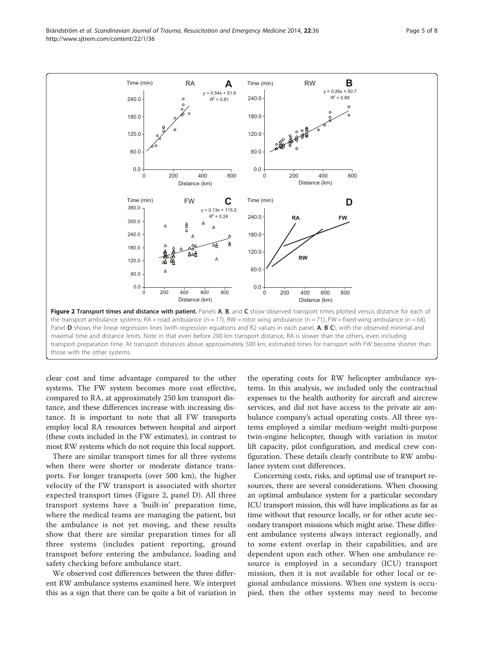<span id="page-4-0"></span>Brändström et al. Scandinavian Journal of Trauma, Resuscitation and Emergency Medicine 2014, 22:36 Page 5 of 8 http://www.sjtrem.com/content/22/1/36



clear cost and time advantage compared to the other systems. The FW system becomes more cost effective, compared to RA, at approximately 250 km transport distance, and these differences increase with increasing distance. It is important to note that all FW transports employ local RA resources between hospital and airport (these costs included in the FW estimates), in contrast to most RW systems which do not require this local support.

There are similar transport times for all three systems when there were shorter or moderate distance transports. For longer transports (over 500 km), the higher velocity of the FW transport is associated with shorter expected transport times (Figure 2, panel D). All three transport systems have a 'built-in' preparation time, where the medical teams are managing the patient, but the ambulance is not yet moving, and these results show that there are similar preparation times for all three systems (includes patient reporting, ground transport before entering the ambulance, loading and safety checking before ambulance start.

We observed cost differences between the three different RW ambulance systems examined here. We interpret this as a sign that there can be quite a bit of variation in

the operating costs for RW helicopter ambulance systems. In this analysis, we included only the contractual expenses to the health authority for aircraft and aircrew services, and did not have access to the private air ambulance company's actual operating costs. All three systems employed a similar medium-weight multi-purpose twin-engine helicopter, though with variation in motor lift capacity, pilot configuration, and medical crew configuration. These details clearly contribute to RW ambulance system cost differences.

Concerning costs, risks, and optimal use of transport resources, there are several considerations. When choosing an optimal ambulance system for a particular secondary ICU transport mission, this will have implications as far as time without that resource locally, or for other acute secondary transport missions which might arise. These different ambulance systems always interact regionally, and to some extent overlap in their capabilities, and are dependent upon each other. When one ambulance resource is employed in a secondary (ICU) transport mission, then it is not available for other local or regional ambulance missions. When one system is occupied, then the other systems may need to become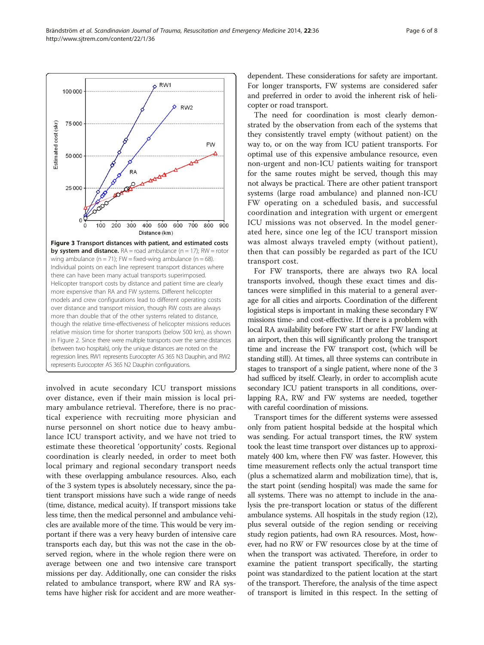RW<sub>2</sub>

RW1

<span id="page-5-0"></span>100,000

75000

dependent. These considerations for safety are important. For longer transports, FW systems are considered safer and preferred in order to avoid the inherent risk of helicopter or road transport.

The need for coordination is most clearly demonstrated by the observation from each of the systems that they consistently travel empty (without patient) on the way to, or on the way from ICU patient transports. For optimal use of this expensive ambulance resource, even non-urgent and non-ICU patients waiting for transport for the same routes might be served, though this may not always be practical. There are other patient transport systems (large road ambulance) and planned non-ICU FW operating on a scheduled basis, and successful coordination and integration with urgent or emergent ICU missions was not observed. In the model generated here, since one leg of the ICU transport mission was almost always traveled empty (without patient), then that can possibly be regarded as part of the ICU transport cost.

For FW transports, there are always two RA local transports involved, though these exact times and distances were simplified in this material to a general average for all cities and airports. Coordination of the different logistical steps is important in making these secondary FW missions time- and cost-effective. If there is a problem with local RA availability before FW start or after FW landing at an airport, then this will significantly prolong the transport time and increase the FW transport cost, (which will be standing still). At times, all three systems can contribute in stages to transport of a single patient, where none of the 3 had sufficed by itself. Clearly, in order to accomplish acute secondary ICU patient transports in all conditions, overlapping RA, RW and FW systems are needed, together with careful coordination of missions.

Transport times for the different systems were assessed only from patient hospital bedside at the hospital which was sending. For actual transport times, the RW system took the least time transport over distances up to approximately 400 km, where then FW was faster. However, this time measurement reflects only the actual transport time (plus a schematized alarm and mobilization time), that is, the start point (sending hospital) was made the same for all systems. There was no attempt to include in the analysis the pre-transport location or status of the different ambulance systems. All hospitals in the study region (12), plus several outside of the region sending or receiving study region patients, had own RA resources. Most, however, had no RW or FW resources close by at the time of when the transport was activated. Therefore, in order to examine the patient transport specifically, the starting point was standardized to the patient location at the start of the transport. Therefore, the analysis of the time aspect of transport is limited in this respect. In the setting of

involved in acute secondary ICU transport missions over distance, even if their main mission is local primary ambulance retrieval. Therefore, there is no practical experience with recruiting more physician and nurse personnel on short notice due to heavy ambulance ICU transport activity, and we have not tried to estimate these theoretical 'opportunity' costs. Regional coordination is clearly needed, in order to meet both local primary and regional secondary transport needs with these overlapping ambulance resources. Also, each of the 3 system types is absolutely necessary, since the patient transport missions have such a wide range of needs (time, distance, medical acuity). If transport missions take less time, then the medical personnel and ambulance vehicles are available more of the time. This would be very important if there was a very heavy burden of intensive care transports each day, but this was not the case in the observed region, where in the whole region there were on average between one and two intensive care transport missions per day. Additionally, one can consider the risks related to ambulance transport, where RW and RA systems have higher risk for accident and are more weatherregression lines. RW1 represents Eurocopter AS 365 N3 Dauphin, and RW2 represents Eurocopter AS 365 N2 Dauphin configurations.

Figure 3 Transport distances with patient, and estimated costs by system and distance.  $RA = road$  ambulance  $(n = 17)$ ;  $RW = rotor$ wing ambulance ( $n = 71$ ); FW = fixed-wing ambulance ( $n = 68$ ). Individual points on each line represent transport distances where there can have been many actual transports superimposed. Helicopter transport costs by distance and patient time are clearly more expensive than RA and FW systems. Different helicopter models and crew configurations lead to different operating costs over distance and transport mission, though RW costs are always more than double that of the other systems related to distance, (between two hospitals), only the unique distances are noted on the

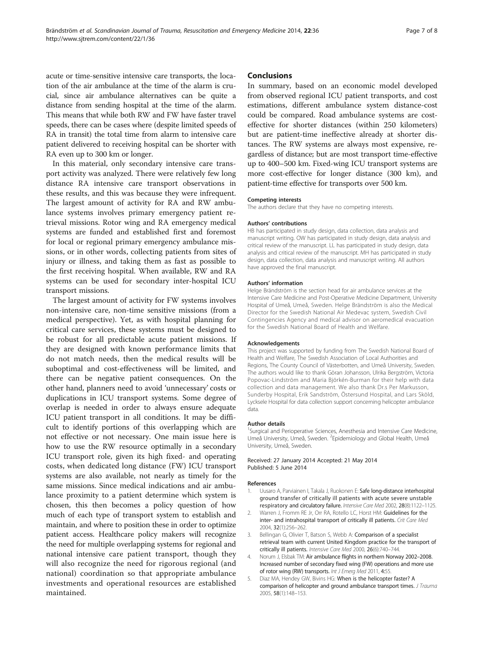<span id="page-6-0"></span>acute or time-sensitive intensive care transports, the location of the air ambulance at the time of the alarm is crucial, since air ambulance alternatives can be quite a distance from sending hospital at the time of the alarm. This means that while both RW and FW have faster travel speeds, there can be cases where (despite limited speeds of RA in transit) the total time from alarm to intensive care patient delivered to receiving hospital can be shorter with RA even up to 300 km or longer.

In this material, only secondary intensive care transport activity was analyzed. There were relatively few long distance RA intensive care transport observations in these results, and this was because they were infrequent. The largest amount of activity for RA and RW ambulance systems involves primary emergency patient retrieval missions. Rotor wing and RA emergency medical systems are funded and established first and foremost for local or regional primary emergency ambulance missions, or in other words, collecting patients from sites of injury or illness, and taking them as fast as possible to the first receiving hospital. When available, RW and RA systems can be used for secondary inter-hospital ICU transport missions.

The largest amount of activity for FW systems involves non-intensive care, non-time sensitive missions (from a medical perspective). Yet, as with hospital planning for critical care services, these systems must be designed to be robust for all predictable acute patient missions. If they are designed with known performance limits that do not match needs, then the medical results will be suboptimal and cost-effectiveness will be limited, and there can be negative patient consequences. On the other hand, planners need to avoid 'unnecessary' costs or duplications in ICU transport systems. Some degree of overlap is needed in order to always ensure adequate ICU patient transport in all conditions. It may be difficult to identify portions of this overlapping which are not effective or not necessary. One main issue here is how to use the RW resource optimally in a secondary ICU transport role, given its high fixed- and operating costs, when dedicated long distance (FW) ICU transport systems are also available, not nearly as timely for the same missions. Since medical indications and air ambulance proximity to a patient determine which system is chosen, this then becomes a policy question of how much of each type of transport system to establish and maintain, and where to position these in order to optimize patient access. Healthcare policy makers will recognize the need for multiple overlapping systems for regional and national intensive care patient transport, though they will also recognize the need for rigorous regional (and national) coordination so that appropriate ambulance investments and operational resources are established maintained.

### Conclusions

In summary, based on an economic model developed from observed regional ICU patient transports, and cost estimations, different ambulance system distance-cost could be compared. Road ambulance systems are costeffective for shorter distances (within 250 kilometers) but are patient-time ineffective already at shorter distances. The RW systems are always most expensive, regardless of distance; but are most transport time-effective up to 400–500 km. Fixed-wing ICU transport systems are more cost-effective for longer distance (300 km), and patient-time effective for transports over 500 km.

#### Competing interests

The authors declare that they have no competing interests.

#### Authors' contributions

HB has participated in study design, data collection, data analysis and manuscript writing. OW has participated in study design, data analysis and critical review of the manuscript. LL has participated in study design, data analysis and critical review of the manuscript. MH has participated in study design, data collection, data analysis and manuscript writing. All authors have approved the final manuscript.

#### Authors' information

Helge Brändström is the section head for air ambulance services at the Intensive Care Medicine and Post-Operative Medicine Department, University Hospital of Umeå, Umeå, Sweden. Helge Brändström is also the Medical Director for the Swedish National Air Medevac system, Swedish Civil Contingencies Agency and medical advisor on aeromedical evacuation for the Swedish National Board of Health and Welfare.

#### Acknowledgements

This project was supported by funding from The Swedish National Board of Health and Welfare, The Swedish Association of Local Authorities and Regions, The County Council of Västerbotten, and Umeå University, Sweden. The authors would like to thank Göran Johansson, Ulrika Bergström, Victoria Popovac-Lindström and Maria Björkén-Burman for their help with data collection and data management. We also thank Dr.s Per Markusson, Sunderby Hospital, Erik Sandström, Östersund Hospital, and Lars Sköld, Lycksele Hospital for data collection support concerning helicopter ambulance data.

#### Author details

<sup>1</sup>Surgical and Perioperative Sciences, Anesthesia and Intensive Care Medicine, Umeå University, Umeå, Sweden. <sup>2</sup> Epidemiology and Global Health, Umeå University, Umeå, Sweden.

#### Received: 27 January 2014 Accepted: 21 May 2014 Published: 5 June 2014

#### References

- 1. Uusaro A, Parviainen I, Takala J, Ruokonen E: Safe long-distance interhospital ground transfer of critically ill patients with acute severe unstable respiratory and circulatory failure. Intensive Care Med 2002, 28(8):1122–1125.
- 2. Warren J, Fromm RE Jr, Orr RA, Rotello LC, Horst HM: Guidelines for the inter- and intrahospital transport of critically ill patients. Crit Care Med 2004, 32(1):256–262.
- Bellingan G, Olivier T, Batson S, Webb A: Comparison of a specialist retrieval team with current United Kingdom practice for the transport of critically ill patients. Intensive Care Med 2000, 26(6):740–744.
- 4. Norum J, Elsbak TM: Air ambulance flights in northern Norway 2002–2008. Increased number of secondary fixed wing (FW) operations and more use of rotor wing (RW) transports. Int J Emerg Med 2011, 4:55.
- 5. Diaz MA, Hendey GW, Bivins HG: When is the helicopter faster? A comparison of helicopter and ground ambulance transport times. J Trauma 2005, 58(1):148–153.